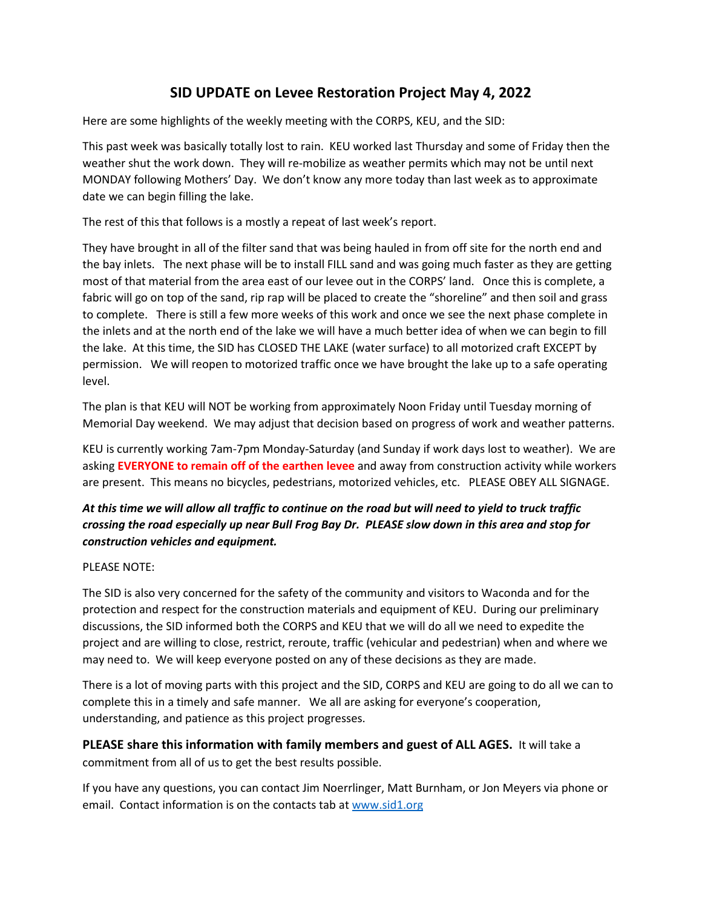## **SID UPDATE on Levee Restoration Project May 4, 2022**

Here are some highlights of the weekly meeting with the CORPS, KEU, and the SID:

This past week was basically totally lost to rain. KEU worked last Thursday and some of Friday then the weather shut the work down. They will re-mobilize as weather permits which may not be until next MONDAY following Mothers' Day. We don't know any more today than last week as to approximate date we can begin filling the lake.

The rest of this that follows is a mostly a repeat of last week's report.

They have brought in all of the filter sand that was being hauled in from off site for the north end and the bay inlets. The next phase will be to install FILL sand and was going much faster as they are getting most of that material from the area east of our levee out in the CORPS' land. Once this is complete, a fabric will go on top of the sand, rip rap will be placed to create the "shoreline" and then soil and grass to complete. There is still a few more weeks of this work and once we see the next phase complete in the inlets and at the north end of the lake we will have a much better idea of when we can begin to fill the lake. At this time, the SID has CLOSED THE LAKE (water surface) to all motorized craft EXCEPT by permission. We will reopen to motorized traffic once we have brought the lake up to a safe operating level.

The plan is that KEU will NOT be working from approximately Noon Friday until Tuesday morning of Memorial Day weekend. We may adjust that decision based on progress of work and weather patterns.

KEU is currently working 7am-7pm Monday-Saturday (and Sunday if work days lost to weather). We are asking **EVERYONE to remain off of the earthen levee** and away from construction activity while workers are present. This means no bicycles, pedestrians, motorized vehicles, etc. PLEASE OBEY ALL SIGNAGE.

## *At this time we will allow all traffic to continue on the road but will need to yield to truck traffic crossing the road especially up near Bull Frog Bay Dr. PLEASE slow down in this area and stop for construction vehicles and equipment.*

## PLEASE NOTE:

The SID is also very concerned for the safety of the community and visitors to Waconda and for the protection and respect for the construction materials and equipment of KEU. During our preliminary discussions, the SID informed both the CORPS and KEU that we will do all we need to expedite the project and are willing to close, restrict, reroute, traffic (vehicular and pedestrian) when and where we may need to. We will keep everyone posted on any of these decisions as they are made.

There is a lot of moving parts with this project and the SID, CORPS and KEU are going to do all we can to complete this in a timely and safe manner. We all are asking for everyone's cooperation, understanding, and patience as this project progresses.

**PLEASE share this information with family members and guest of ALL AGES.** It will take a commitment from all of us to get the best results possible.

If you have any questions, you can contact Jim Noerrlinger, Matt Burnham, or Jon Meyers via phone or email. Contact information is on the contacts tab at [www.sid1.org](http://www.sid1.org/)